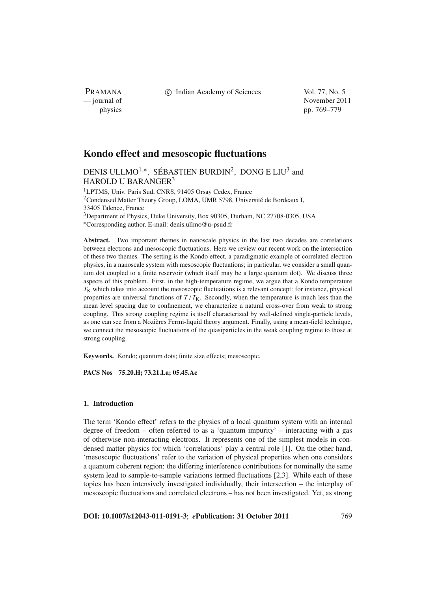PRAMANA

c Indian Academy of Sciences Vol. 77, No. 5

— journal of November 2011 physics pp. 769–779

# **Kondo effect and mesoscopic fluctuations**

DENIS ULLMO<sup>1,∗</sup>, SÉBASTIEN BURDIN<sup>2</sup>, DONG E LIU<sup>3</sup> and HAROLD U BARANGER<sup>3</sup>

<sup>1</sup>LPTMS, Univ. Paris Sud, CNRS, 91405 Orsay Cedex, France <sup>2</sup>Condensed Matter Theory Group, LOMA, UMR 5798, Université de Bordeaux I, 33405 Talence, France 3Department of Physics, Duke University, Box 90305, Durham, NC 27708-0305, USA

<sup>∗</sup>Corresponding author. E-mail: denis.ullmo@u-psud.fr

**Abstract.** Two important themes in nanoscale physics in the last two decades are correlations between electrons and mesoscopic fluctuations. Here we review our recent work on the intersection of these two themes. The setting is the Kondo effect, a paradigmatic example of correlated electron physics, in a nanoscale system with mesoscopic fluctuations; in particular, we consider a small quantum dot coupled to a finite reservoir (which itself may be a large quantum dot). We discuss three aspects of this problem. First, in the high-temperature regime, we argue that a Kondo temperature  $T_K$  which takes into account the mesoscopic fluctuations is a relevant concept: for instance, physical properties are universal functions of  $T/T_K$ . Secondly, when the temperature is much less than the mean level spacing due to confinement, we characterize a natural cross-over from weak to strong coupling. This strong coupling regime is itself characterized by well-defined single-particle levels, as one can see from a Nozières Fermi-liquid theory argument. Finally, using a mean-field technique, we connect the mesoscopic fluctuations of the quasiparticles in the weak coupling regime to those at strong coupling.

**Keywords.** Kondo; quantum dots; finite size effects; mesoscopic.

**PACS Nos 75.20.H; 73.21.La; 05.45.Ac**

# **1. Introduction**

The term 'Kondo effect' refers to the physics of a local quantum system with an internal degree of freedom – often referred to as a 'quantum impurity' – interacting with a gas of otherwise non-interacting electrons. It represents one of the simplest models in condensed matter physics for which 'correlations' play a central role [1]. On the other hand, 'mesoscopic fluctuations' refer to the variation of physical properties when one considers a quantum coherent region: the differing interference contributions for nominally the same system lead to sample-to-sample variations termed fluctuations [2,3]. While each of these topics has been intensively investigated individually, their intersection – the interplay of mesoscopic fluctuations and correlated electrons – has not been investigated. Yet, as strong

**DOI: 10.1007/s12043-011-0191-3**; *e***Publication: 31 October 2011** 769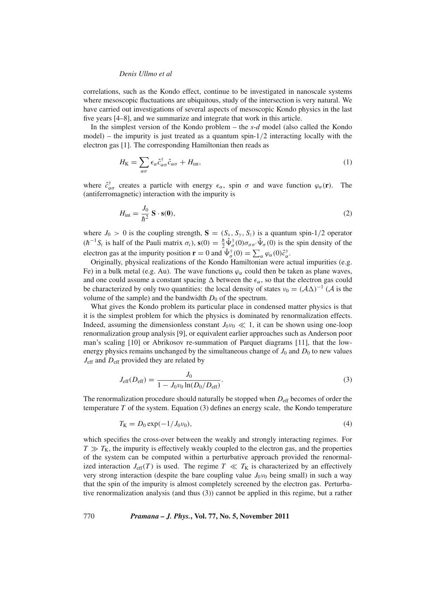correlations, such as the Kondo effect, continue to be investigated in nanoscale systems where mesoscopic fluctuations are ubiquitous, study of the intersection is very natural. We have carried out investigations of several aspects of mesoscopic Kondo physics in the last five years [4–8], and we summarize and integrate that work in this article.

In the simplest version of the Kondo problem – the *s*-*d* model (also called the Kondo  $model$ ) – the impurity is just treated as a quantum spin- $1/2$  interacting locally with the electron gas [1]. The corresponding Hamiltonian then reads as

$$
H_{\rm K} = \sum_{\alpha\sigma} \epsilon_{\alpha} \hat{c}_{\alpha\sigma}^{\dagger} \hat{c}_{\alpha\sigma} + H_{\rm int}, \tag{1}
$$

where  $\hat{c}^{\dagger}_{\alpha\sigma}$  creates a particle with energy  $\epsilon_{\alpha}$ , spin  $\sigma$  and wave function  $\varphi_{\alpha}(\mathbf{r})$ . The (antiferromagnetic) interaction with the impurity is

$$
H_{\text{int}} = \frac{J_0}{\hbar^2} \mathbf{S} \cdot \mathbf{s}(\mathbf{0}),\tag{2}
$$

where  $J_0 > 0$  is the coupling strength,  $S = (S_x, S_y, S_z)$  is a quantum spin-1/2 operator  $(h^{-1}S_i$  is half of the Pauli matrix  $\sigma_i$ ,  $\mathbf{s}(0) = \frac{\hbar}{2} \hat{\Psi}_{\sigma}^{\dagger}(0) \sigma_{\sigma\sigma'} \hat{\Psi}_{\sigma}(0)$  is the spin density of the electron gas at the impurity position **r** = 0 and  $\hat{\Psi}_{\sigma}^{\dagger}(0) = \sum_{\alpha} \varphi_{\alpha}(0)\hat{c}_{\alpha}^{\dagger}$ .

Originally, physical realizations of the Kondo Hamiltonian were actual impurities (e.g. Fe) in a bulk metal (e.g. Au). The wave functions  $\varphi_{\alpha}$  could then be taken as plane waves, and one could assume a constant spacing  $\Delta$  between the  $\epsilon_{\alpha}$ , so that the electron gas could be characterized by only two quantities: the local density of states  $v_0 = (\mathcal{A}\Delta)^{-1} (\mathcal{A}$  is the volume of the sample) and the bandwidth  $D_0$  of the spectrum.

What gives the Kondo problem its particular place in condensed matter physics is that it is the simplest problem for which the physics is dominated by renormalization effects. Indeed, assuming the dimensionless constant  $J_0v_0 \ll 1$ , it can be shown using one-loop renormalization group analysis [9], or equivalent earlier approaches such as Anderson poor man's scaling [10] or Abrikosov re-summation of Parquet diagrams [11], that the lowenergy physics remains unchanged by the simultaneous change of  $J_0$  and  $D_0$  to new values *J*eff and *D*eff provided they are related by

$$
J_{\rm eff}(D_{\rm eff}) = \frac{J_0}{1 - J_0 \nu_0 \ln(D_0/D_{\rm eff})}.
$$
\n(3)

The renormalization procedure should naturally be stopped when  $D_{\text{eff}}$  becomes of order the temperature *T* of the system. Equation (3) defines an energy scale, the Kondo temperature

$$
T_{\rm K} = D_0 \exp(-1/J_0 \nu_0),\tag{4}
$$

which specifies the cross-over between the weakly and strongly interacting regimes. For  $T \gg T<sub>K</sub>$ , the impurity is effectively weakly coupled to the electron gas, and the properties of the system can be computed within a perturbative approach provided the renormalized interaction  $J_{\text{eff}}(T)$  is used. The regime  $T \ll T_K$  is characterized by an effectively very strong interaction (despite the bare coupling value  $J_0v_0$  being small) in such a way that the spin of the impurity is almost completely screened by the electron gas. Perturbative renormalization analysis (and thus (3)) cannot be applied in this regime, but a rather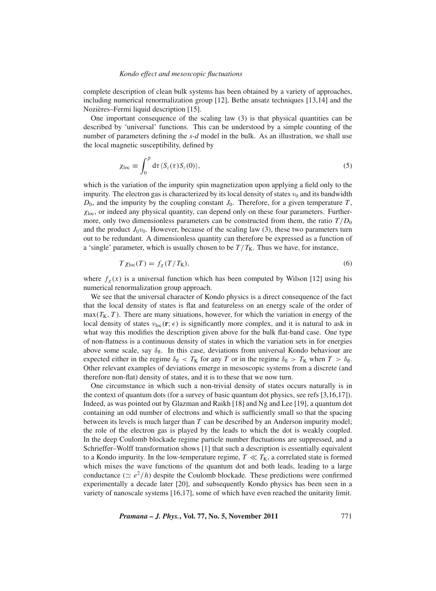complete description of clean bulk systems has been obtained by a variety of approaches, including numerical renormalization group [12], Bethe ansatz techniques [13,14] and the Nozières–Fermi liquid description [15].

One important consequence of the scaling law (3) is that physical quantities can be described by 'universal' functions. This can be understood by a simple counting of the number of parameters defining the *s-d* model in the bulk. As an illustration, we shall use the local magnetic susceptibility, defined by

$$
\chi_{\text{loc}} \equiv \int_0^\beta d\tau \langle S_z(\tau) S_z(0) \rangle, \tag{5}
$$

which is the variation of the impurity spin magnetization upon applying a field only to the impurity. The electron gas is characterized by its local density of states  $v_0$  and its bandwidth  $D_0$ , and the impurity by the coupling constant  $J_0$ . Therefore, for a given temperature  $T$ ,  $\chi_{\text{loc}}$ , or indeed any physical quantity, can depend only on these four parameters. Furthermore, only two dimensionless parameters can be constructed from them, the ratio  $T/D_0$ and the product  $J_0v_0$ . However, because of the scaling law (3), these two parameters turn out to be redundant. A dimensionless quantity can therefore be expressed as a function of a 'single' parameter, which is usually chosen to be  $T/T_K$ . Thus we have, for instance,

$$
T\chi_{\text{loc}}(T) = f_{\chi}(T/T_{\text{K}}),\tag{6}
$$

where  $f_{\chi}(x)$  is a universal function which has been computed by Wilson [12] using his numerical renormalization group approach.

We see that the universal character of Kondo physics is a direct consequence of the fact that the local density of states is flat and featureless on an energy scale of the order of  $max(T_K, T)$ . There are many situations, however, for which the variation in energy of the local density of states  $v_{\text{loc}}(\mathbf{r}; \epsilon)$  is significantly more complex, and it is natural to ask in what way this modifies the description given above for the bulk flat-band case. One type of non-flatness is a continuous density of states in which the variation sets in for energies above some scale, say  $\delta_{\rm fl}$ . In this case, deviations from universal Kondo behaviour are expected either in the regime  $\delta_{\text{fl}} < T_K$  for any *T* or in the regime  $\delta_{\text{fl}} > T_K$  when  $T > \delta_{\text{fl}}$ . Other relevant examples of deviations emerge in mesoscopic systems from a discrete (and therefore non-flat) density of states, and it is to these that we now turn.

One circumstance in which such a non-trivial density of states occurs naturally is in the context of quantum dots (for a survey of basic quantum dot physics, see refs [3,16,17]). Indeed, as was pointed out by Glazman and Raikh [18] and Ng and Lee [19], a quantum dot containing an odd number of electrons and which is sufficiently small so that the spacing between its levels is much larger than *T* can be described by an Anderson impurity model; the role of the electron gas is played by the leads to which the dot is weakly coupled. In the deep Coulomb blockade regime particle number fluctuations are suppressed, and a Schrieffer–Wolff transformation shows [1] that such a description is essentially equivalent to a Kondo impurity. In the low-temperature regime,  $T \ll T_K$ , a correlated state is formed which mixes the wave functions of the quantum dot and both leads, leading to a large conductance  $(\simeq e^2/h)$  despite the Coulomb blockade. These predictions were confirmed experimentally a decade later [20], and subsequently Kondo physics has been seen in a variety of nanoscale systems [16,17], some of which have even reached the unitarity limit.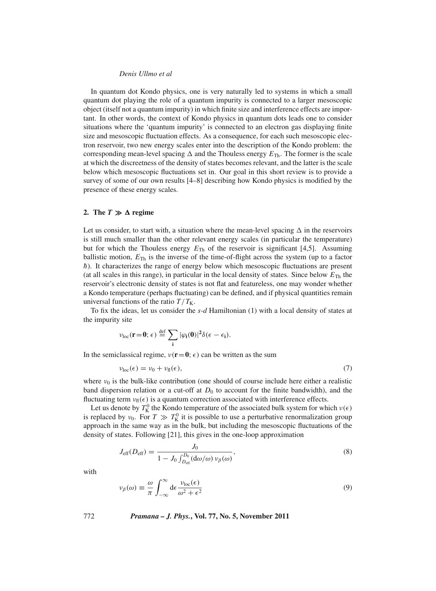In quantum dot Kondo physics, one is very naturally led to systems in which a small quantum dot playing the role of a quantum impurity is connected to a larger mesoscopic object (itself not a quantum impurity) in which finite size and interference effects are important. In other words, the context of Kondo physics in quantum dots leads one to consider situations where the 'quantum impurity' is connected to an electron gas displaying finite size and mesoscopic fluctuation effects. As a consequence, for each such mesoscopic electron reservoir, two new energy scales enter into the description of the Kondo problem: the corresponding mean-level spacing  $\Delta$  and the Thouless energy  $E_{\text{Th}}$ . The former is the scale at which the discreetness of the density of states becomes relevant, and the latter is the scale below which mesoscopic fluctuations set in. Our goal in this short review is to provide a survey of some of our own results [4–8] describing how Kondo physics is modified by the presence of these energy scales.

# **2.** The  $T \gg \Delta$  regime

Let us consider, to start with, a situation where the mean-level spacing  $\Delta$  in the reservoirs is still much smaller than the other relevant energy scales (in particular the temperature) but for which the Thouless energy  $E_{\text{Th}}$  of the reservoir is significant [4,5]. Assuming ballistic motion,  $E_{\text{Th}}$  is the inverse of the time-of-flight across the system (up to a factor *h*). It characterizes the range of energy below which mesoscopic fluctuations are present (at all scales in this range), in particular in the local density of states. Since below  $E_{\text{Th}}$  the reservoir's electronic density of states is not flat and featureless, one may wonder whether a Kondo temperature (perhaps fluctuating) can be defined, and if physical quantities remain universal functions of the ratio  $T/T_K$ .

To fix the ideas, let us consider the *s-d* Hamiltonian (1) with a local density of states at the impurity site

$$
\nu_{loc}(\mathbf{r}=\mathbf{0};\,\epsilon)\stackrel{\text{def}}{=}\sum_{\mathbf{i}}|\varphi_{\mathbf{i}}(\mathbf{0})|^2\delta(\epsilon-\epsilon_{\mathbf{i}}).
$$

In the semiclassical regime,  $v(\mathbf{r}=\mathbf{0}; \epsilon)$  can be written as the sum

$$
\nu_{\text{loc}}(\epsilon) = \nu_0 + \nu_{\text{fl}}(\epsilon),\tag{7}
$$

where  $v_0$  is the bulk-like contribution (one should of course include here either a realistic band dispersion relation or a cut-off at  $D_0$  to account for the finite bandwidth), and the fluctuating term  $v_{\text{fl}}(\epsilon)$  is a quantum correction associated with interference effects.

Let us denote by  $T_K^0$  the Kondo temperature of the associated bulk system for which  $v(\epsilon)$ is replaced by  $v_0$ . For  $T \gg T_K^0$  it is possible to use a perturbative renormalization group approach in the same way as in the bulk, but including the mesoscopic fluctuations of the density of states. Following [21], this gives in the one-loop approximation

$$
J_{\text{eff}}(D_{\text{eff}}) = \frac{J_0}{1 - J_0 \int_{D_{\text{eff}}}^{D_0} (\text{d}\omega/\omega) \nu_\beta(\omega)},
$$
\n(8)

with

$$
\nu_{\beta}(\omega) \equiv \frac{\omega}{\pi} \int_{-\infty}^{\infty} d\epsilon \frac{\nu_{\text{loc}}(\epsilon)}{\omega^2 + \epsilon^2}
$$
 (9)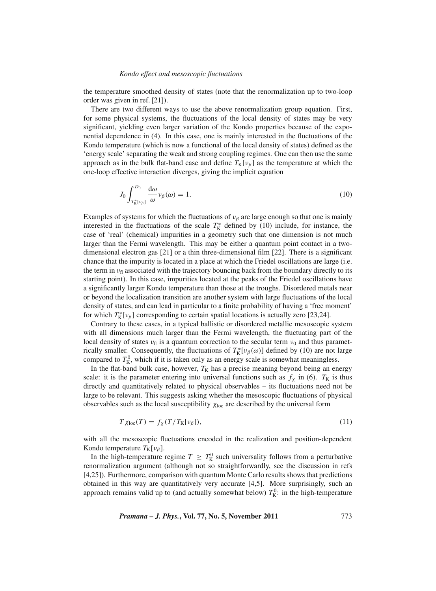the temperature smoothed density of states (note that the renormalization up to two-loop order was given in ref. [21]).

There are two different ways to use the above renormalization group equation. First, for some physical systems, the fluctuations of the local density of states may be very significant, yielding even larger variation of the Kondo properties because of the exponential dependence in (4). In this case, one is mainly interested in the fluctuations of the Kondo temperature (which is now a functional of the local density of states) defined as the 'energy scale' separating the weak and strong coupling regimes. One can then use the same approach as in the bulk flat-band case and define  $T_K[v_\beta]$  as the temperature at which the one-loop effective interaction diverges, giving the implicit equation

$$
J_0 \int_{T^*_{\mathcal{K}}[\nu_\beta]}^{D_0} \frac{d\omega}{\omega} \nu_\beta(\omega) = 1. \tag{10}
$$

Examples of systems for which the fluctuations of  $v_\beta$  are large enough so that one is mainly interested in the fluctuations of the scale  $T_K^*$  defined by (10) include, for instance, the case of 'real' (chemical) impurities in a geometry such that one dimension is not much larger than the Fermi wavelength. This may be either a quantum point contact in a twodimensional electron gas [21] or a thin three-dimensional film [22]. There is a significant chance that the impurity is located in a place at which the Friedel oscillations are large (i.e. the term in  $v_{\text{fl}}$  associated with the trajectory bouncing back from the boundary directly to its starting point). In this case, impurities located at the peaks of the Friedel oscillations have a significantly larger Kondo temperature than those at the troughs. Disordered metals near or beyond the localization transition are another system with large fluctuations of the local density of states, and can lead in particular to a finite probability of having a 'free moment' for which  $T_K^*[\nu_\beta]$  corresponding to certain spatial locations is actually zero [23,24].

Contrary to these cases, in a typical ballistic or disordered metallic mesoscopic system with all dimensions much larger than the Fermi wavelength, the fluctuating part of the local density of states  $v_{\text{fl}}$  is a quantum correction to the secular term  $v_0$  and thus parametrically smaller. Consequently, the fluctuations of  $T_K^*[\nu_\beta(\omega)]$  defined by (10) are not large compared to  $T_K^0$ , which if it is taken only as an energy scale is somewhat meaningless.

In the flat-band bulk case, however,  $T_K$  has a precise meaning beyond being an energy scale: it is the parameter entering into universal functions such as  $f<sub>\chi</sub>$  in (6).  $T<sub>K</sub>$  is thus directly and quantitatively related to physical observables – its fluctuations need not be large to be relevant. This suggests asking whether the mesoscopic fluctuations of physical observables such as the local susceptibility  $\chi_{\text{loc}}$  are described by the universal form

$$
T\chi_{\text{loc}}(T) = f_{\chi}(T/T_{\text{K}}[\nu_{\beta}]),\tag{11}
$$

with all the mesoscopic fluctuations encoded in the realization and position-dependent Kondo temperature  $T_K[v_\beta]$ .

In the high-temperature regime  $T \geq T_K^0$  such universality follows from a perturbative renormalization argument (although not so straightforwardly, see the discussion in refs [4,25]). Furthermore, comparison with quantum Monte Carlo results shows that predictions obtained in this way are quantitatively very accurate [4,5]. More surprisingly, such an approach remains valid up to (and actually somewhat below)  $T_K^0$ : in the high-temperature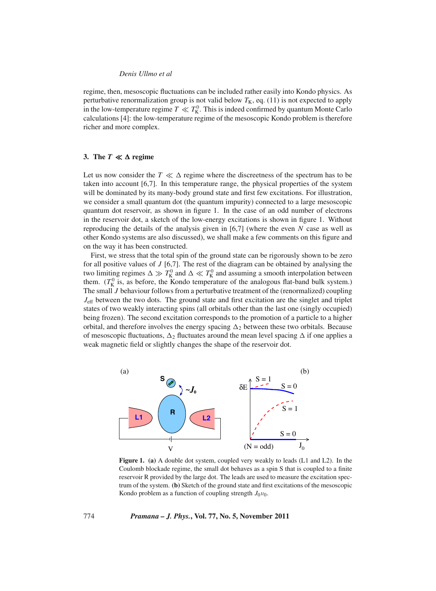regime, then, mesoscopic fluctuations can be included rather easily into Kondo physics. As perturbative renormalization group is not valid below  $T_K$ , eq. (11) is not expected to apply in the low-temperature regime  $T \ll T_K^0$ . This is indeed confirmed by quantum Monte Carlo calculations [4]: the low-temperature regime of the mesoscopic Kondo problem is therefore richer and more complex.

# **3.** The  $T \ll \Delta$  regime

Let us now consider the  $T \ll \Delta$  regime where the discreetness of the spectrum has to be taken into account [6,7]. In this temperature range, the physical properties of the system will be dominated by its many-body ground state and first few excitations. For illustration, we consider a small quantum dot (the quantum impurity) connected to a large mesoscopic quantum dot reservoir, as shown in figure 1. In the case of an odd number of electrons in the reservoir dot, a sketch of the low-energy excitations is shown in figure 1. Without reproducing the details of the analysis given in [6,7] (where the even *N* case as well as other Kondo systems are also discussed), we shall make a few comments on this figure and on the way it has been constructed.

First, we stress that the total spin of the ground state can be rigorously shown to be zero for all positive values of *J* [6,7]. The rest of the diagram can be obtained by analysing the two limiting regimes  $\Delta \gg T_K^0$  and  $\Delta \ll T_K^0$  and assuming a smooth interpolation between them.  $(T_K^0)$  is, as before, the Kondo temperature of the analogous flat-band bulk system.) The small *J* behaviour follows from a perturbative treatment of the (renormalized) coupling *J*eff between the two dots. The ground state and first excitation are the singlet and triplet states of two weakly interacting spins (all orbitals other than the last one (singly occupied) being frozen). The second excitation corresponds to the promotion of a particle to a higher orbital, and therefore involves the energy spacing  $\Delta_2$  between these two orbitals. Because of mesoscopic fluctuations,  $\Delta_2$  fluctuates around the mean level spacing  $\Delta$  if one applies a weak magnetic field or slightly changes the shape of the reservoir dot.



**Figure 1. (a)** A double dot system, coupled very weakly to leads (L1 and L2). In the Coulomb blockade regime, the small dot behaves as a spin S that is coupled to a finite reservoir R provided by the large dot. The leads are used to measure the excitation spectrum of the system. **(b)** Sketch of the ground state and first excitations of the mesoscopic Kondo problem as a function of coupling strength  $J_0v_0$ .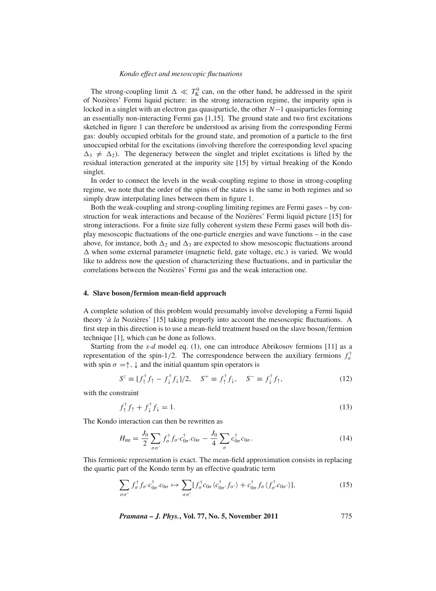The strong-coupling limit  $\Delta \ll T_K^0$  can, on the other hand, be addressed in the spirit of Nozières' Fermi liquid picture: in the strong interaction regime, the impurity spin is locked in a singlet with an electron gas quasiparticle, the other *N*−1 quasiparticles forming an essentially non-interacting Fermi gas [1,15]. The ground state and two first excitations sketched in figure 1 can therefore be understood as arising from the corresponding Fermi gas: doubly occupied orbitals for the ground state, and promotion of a particle to the first unoccupied orbital for the excitations (involving therefore the corresponding level spacing  $\Delta_3 \neq \Delta_2$ ). The degeneracy between the singlet and triplet excitations is lifted by the residual interaction generated at the impurity site [15] by virtual breaking of the Kondo singlet.

In order to connect the levels in the weak-coupling regime to those in strong-coupling regime, we note that the order of the spins of the states is the same in both regimes and so simply draw interpolating lines between them in figure 1.

Both the weak-coupling and strong-coupling limiting regimes are Fermi gases – by construction for weak interactions and because of the Nozières' Fermi liquid picture [15] for strong interactions. For a finite size fully coherent system these Fermi gases will both display mesoscopic fluctuations of the one-particle energies and wave functions – in the case above, for instance, both  $\Delta_2$  and  $\Delta_3$  are expected to show mesoscopic fluctuations around  $\Delta$  when some external parameter (magnetic field, gate voltage, etc.) is varied. We would like to address now the question of characterizing these fluctuations, and in particular the correlations between the Nozières' Fermi gas and the weak interaction one.

#### **4. Slave boson***/***fermion mean-field approach**

A complete solution of this problem would presumably involve developing a Fermi liquid theory '*à la* Nozières' [15] taking properly into account the mesoscopic fluctuations. A first step in this direction is to use a mean-field treatment based on the slave boson/fermion technique [1], which can be done as follows.

Starting from the *s-d* model eq. (1), one can introduce Abrikosov fermions [11] as a representation of the spin-1/2. The correspondence between the auxiliary fermions  $f_{\sigma}^{\dagger}$ with spin  $\sigma = \uparrow, \downarrow$  and the initial quantum spin operators is

$$
S^{z} \equiv [f_{\uparrow}^{\dagger} f_{\uparrow} - f_{\downarrow}^{\dagger} f_{\downarrow}] / 2, \quad S^{+} \equiv f_{\uparrow}^{\dagger} f_{\downarrow}, \quad S^{-} \equiv f_{\downarrow}^{\dagger} f_{\uparrow}, \tag{12}
$$

with the constraint

$$
f_1^{\dagger} f_1 + f_1^{\dagger} f_1 = 1. \tag{13}
$$

The Kondo interaction can then be rewritten as

$$
H_{\rm int} = \frac{J_0}{2} \sum_{\sigma \sigma'} f_{\sigma}^{\dagger} f_{\sigma'} c_{0\sigma'}^{\dagger} c_{0\sigma} - \frac{J_0}{4} \sum_{\sigma} c_{0\sigma}^{\dagger} c_{0\sigma}.
$$
 (14)

This fermionic representation is exact. The mean-field approximation consists in replacing the quartic part of the Kondo term by an effective quadratic term

$$
\sum_{\sigma\sigma'} f_{\sigma}^{\dagger} f_{\sigma'} c_{0\sigma'}^{\dagger} c_{0\sigma} \mapsto \sum_{\sigma\sigma'} [f_{\sigma}^{\dagger} c_{0\sigma} \langle c_{0\sigma'}^{\dagger} f_{\sigma'} \rangle + c_{0\sigma}^{\dagger} f_{\sigma} \langle f_{\sigma'}^{\dagger} c_{0\sigma'} \rangle], \tag{15}
$$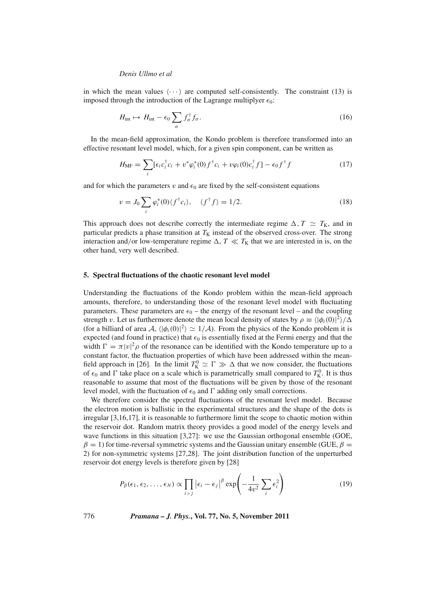in which the mean values  $\langle \cdots \rangle$  are computed self-consistently. The constraint (13) is imposed through the introduction of the Lagrange multiplyer  $\epsilon_0$ :

$$
H_{\rm int} \mapsto H_{\rm int} - \epsilon_0 \sum_{\sigma} f_{\sigma}^{\dagger} f_{\sigma}.
$$
 (16)

In the mean-field approximation, the Kondo problem is therefore transformed into an effective resonant level model, which, for a given spin component, can be written as

$$
H_{\text{MF}} = \sum_{i} \left[ \epsilon_i c_i^{\dagger} c_i + v^* \varphi_i^*(0) f^{\dagger} c_i + v \varphi_i(0) c_i^{\dagger} f \right] - \epsilon_0 f^{\dagger} f \tag{17}
$$

and for which the parameters v and  $\epsilon_0$  are fixed by the self-consistent equations

$$
v = J_0 \sum_i \varphi_i^*(0) \langle f^\dagger c_i \rangle, \quad \langle f^\dagger f \rangle = 1/2. \tag{18}
$$

This approach does not describe correctly the intermediate regime  $\Delta$ ,  $T \simeq T_{\text{K}}$ , and in particular predicts a phase transition at  $T_K$  instead of the observed cross-over. The strong interaction and/or low-temperature regime  $\Delta$ ,  $T \ll T_K$  that we are interested in is, on the other hand, very well described.

#### **5. Spectral fluctuations of the chaotic resonant level model**

Understanding the fluctuations of the Kondo problem within the mean-field approach amounts, therefore, to understanding those of the resonant level model with fluctuating parameters. These parameters are  $\epsilon_0$  – the energy of the resonant level – and the coupling strength v. Let us furthermore denote the mean local density of states by  $\rho \equiv \langle |\phi_i(0)|^2 \rangle / \Delta$ (for a billiard of area A,  $\langle |\phi_i(0)|^2 \rangle \simeq 1/\mathcal{A}$ ). From the physics of the Kondo problem it is expected (and found in practice) that  $\epsilon_0$  is essentially fixed at the Fermi energy and that the width  $\Gamma = \pi |v|^2 \rho$  of the resonance can be identified with the Kondo temperature up to a constant factor, the fluctuation properties of which have been addressed within the meanfield approach in [26]. In the limit  $T_K^0 \simeq \Gamma \gg \Delta$  that we now consider, the fluctuations of  $\epsilon_0$  and  $\Gamma$  take place on a scale which is parametrically small compared to  $T_K^0$ . It is thus reasonable to assume that most of the fluctuations will be given by those of the resonant level model, with the fluctuation of  $\epsilon_0$  and  $\Gamma$  adding only small corrections.

We therefore consider the spectral fluctuations of the resonant level model. Because the electron motion is ballistic in the experimental structures and the shape of the dots is irregular [3,16,17], it is reasonable to furthermore limit the scope to chaotic motion within the reservoir dot. Random matrix theory provides a good model of the energy levels and wave functions in this situation [3,27]: we use the Gaussian orthogonal ensemble (GOE,  $\beta = 1$ ) for time-reversal symmetric systems and the Gaussian unitary ensemble (GUE,  $\beta =$ 2) for non-symmetric systems [27,28]. The joint distribution function of the unperturbed reservoir dot energy levels is therefore given by [28]

$$
P_{\beta}(\epsilon_1, \epsilon_2, \dots, \epsilon_N) \propto \prod_{i > j} |\epsilon_i - \epsilon_j|^{\beta} \exp\left(-\frac{1}{4v^2} \sum_i \epsilon_i^2\right)
$$
 (19)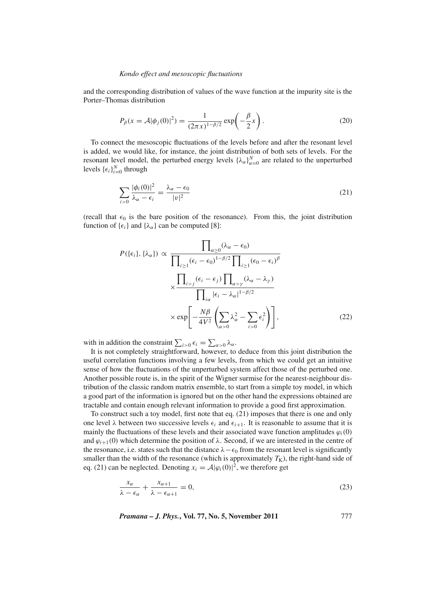and the corresponding distribution of values of the wave function at the impurity site is the Porter–Thomas distribution

$$
P_{\beta}(x = A|\phi_j(0)|^2) = \frac{1}{(2\pi x)^{1-\beta/2}} \exp\left(-\frac{\beta}{2}x\right).
$$
 (20)

To connect the mesoscopic fluctuations of the levels before and after the resonant level is added, we would like, for instance, the joint distribution of both sets of levels. For the resonant level model, the perturbed energy levels  $\{\lambda_{\alpha}\}_{\alpha=0}^{N}$  are related to the unperturbed levels  $\{\epsilon_i\}_{i=0}^N$  through

$$
\sum_{i>0} \frac{|\phi_i(0)|^2}{\lambda_\alpha - \epsilon_i} = \frac{\lambda_\alpha - \epsilon_0}{|v|^2} \tag{21}
$$

(recall that  $\epsilon_0$  is the bare position of the resonance). From this, the joint distribution function of  $\{\epsilon_i\}$  and  $\{\lambda_\alpha\}$  can be computed [8]:

$$
P(\{\epsilon_i\}, \{\lambda_\alpha\}) \propto \frac{\prod_{\alpha \ge 0} (\lambda_\alpha - \epsilon_0)}{\prod_{i \ge 1} (\epsilon_i - \epsilon_0)^{1-\beta/2} \prod_{i \ge 1} (\epsilon_0 - \epsilon_i)^\beta}
$$

$$
\times \frac{\prod_{i > j} (\epsilon_i - \epsilon_j) \prod_{\alpha > \gamma} (\lambda_\alpha - \lambda_\gamma)}{\prod_{i \alpha} |\epsilon_i - \lambda_\alpha|^{1-\beta/2}}
$$

$$
\times \exp\left[-\frac{N\beta}{4V^2} \left(\sum_{\alpha > 0} \lambda_\alpha^2 - \sum_{i > 0} \epsilon_i^2\right)\right],
$$
(22)

with in addition the constraint  $\sum_{i>0} \epsilon_i = \sum_{\alpha>0} \lambda_\alpha$ .

It is not completely straightforward, however, to deduce from this joint distribution the useful correlation functions involving a few levels, from which we could get an intuitive sense of how the fluctuations of the unperturbed system affect those of the perturbed one. Another possible route is, in the spirit of the Wigner surmise for the nearest-neighbour distribution of the classic random matrix ensemble, to start from a simple toy model, in which a good part of the information is ignored but on the other hand the expressions obtained are tractable and contain enough relevant information to provide a good first approximation.

To construct such a toy model, first note that eq. (21) imposes that there is one and only one level  $\lambda$  between two successive levels  $\epsilon_i$  and  $\epsilon_{i+1}$ . It is reasonable to assume that it is mainly the fluctuations of these levels and their associated wave function amplitudes  $\varphi_i(0)$ and  $\varphi_{i+1}(0)$  which determine the position of  $\lambda$ . Second, if we are interested in the centre of the resonance, i.e. states such that the distance  $\lambda - \epsilon_0$  from the resonant level is significantly smaller than the width of the resonance (which is approximately  $T_K$ ), the right-hand side of eq. (21) can be neglected. Denoting  $x_i = A|\varphi_i(0)|^2$ , we therefore get

$$
\frac{x_{\alpha}}{\lambda - \epsilon_{\alpha}} + \frac{x_{\alpha+1}}{\lambda - \epsilon_{\alpha+1}} = 0, \tag{23}
$$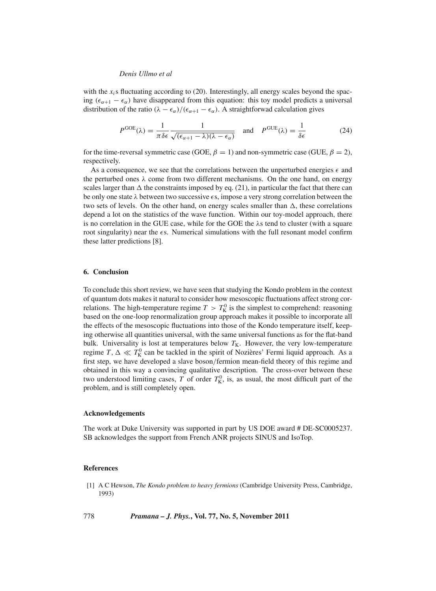with the  $x_i$ s fluctuating according to (20). Interestingly, all energy scales beyond the spacing ( $\epsilon_{\alpha+1} - \epsilon_{\alpha}$ ) have disappeared from this equation: this toy model predicts a universal distribution of the ratio  $(\lambda - \epsilon_{\alpha})/(\epsilon_{\alpha+1} - \epsilon_{\alpha})$ . A straightforwad calculation gives

$$
P^{\text{GOE}}(\lambda) = \frac{1}{\pi \delta \epsilon} \frac{1}{\sqrt{(\epsilon_{\alpha+1} - \lambda)(\lambda - \epsilon_{\alpha})}} \quad \text{and} \quad P^{\text{GUE}}(\lambda) = \frac{1}{\delta \epsilon}
$$
(24)

for the time-reversal symmetric case (GOE,  $\beta = 1$ ) and non-symmetric case (GUE,  $\beta = 2$ ), respectively.

As a consequence, we see that the correlations between the unperturbed energies  $\epsilon$  and the perturbed ones  $\lambda$  come from two different mechanisms. On the one hand, on energy scales larger than  $\Delta$  the constraints imposed by eq. (21), in particular the fact that there can be only one state  $\lambda$  between two successive  $\epsilon$ s, impose a very strong correlation between the two sets of levels. On the other hand, on energy scales smaller than  $\Delta$ , these correlations depend a lot on the statistics of the wave function. Within our toy-model approach, there is no correlation in the GUE case, while for the GOE the  $\lambda$ s tend to cluster (with a square root singularity) near the  $\epsilon$ s. Numerical simulations with the full resonant model confirm these latter predictions [8].

# **6. Conclusion**

To conclude this short review, we have seen that studying the Kondo problem in the context of quantum dots makes it natural to consider how mesoscopic fluctuations affect strong correlations. The high-temperature regime  $T > T_K^0$  is the simplest to comprehend: reasoning based on the one-loop renormalization group approach makes it possible to incorporate all the effects of the mesoscopic fluctuations into those of the Kondo temperature itself, keeping otherwise all quantities universal, with the same universal functions as for the flat-band bulk. Universality is lost at temperatures below  $T_K$ . However, the very low-temperature regime *T*,  $\Delta \ll T_K^0$  can be tackled in the spirit of Nozières' Fermi liquid approach. As a first step, we have developed a slave boson/fermion mean-field theory of this regime and obtained in this way a convincing qualitative description. The cross-over between these two understood limiting cases, *T* of order  $T_K^0$ , is, as usual, the most difficult part of the problem, and is still completely open.

# **Acknowledgements**

The work at Duke University was supported in part by US DOE award # DE-SC0005237. SB acknowledges the support from French ANR projects SINUS and IsoTop.

## **References**

- [1] A C Hewson, *The Kondo problem to heavy fermions* (Cambridge University Press, Cambridge, 1993)
- 778 *Pramana J. Phys.***, Vol. 77, No. 5, November 2011**